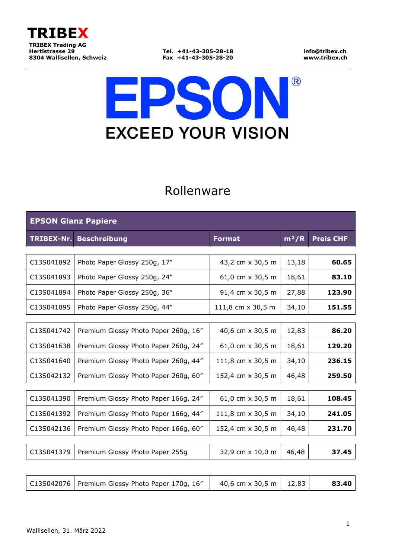

# $\circledR$ **EPS EXCEED YOUR VISION**

### Rollenware

| <b>EPSON Glanz Papiere</b> |                                      |                   |         |                  |
|----------------------------|--------------------------------------|-------------------|---------|------------------|
| <b>TRIBEX-Nr.</b>          | <b>Beschreibung</b>                  | <b>Format</b>     | $m^2/R$ | <b>Preis CHF</b> |
|                            |                                      |                   |         |                  |
| C13S041892                 | Photo Paper Glossy 250g, 17"         | 43,2 cm x 30,5 m  | 13,18   | 60.65            |
| C13S041893                 | Photo Paper Glossy 250g, 24"         | 61,0 cm x 30,5 m  | 18,61   | 83.10            |
| C13S041894                 | Photo Paper Glossy 250g, 36"         | 91,4 cm x 30,5 m  | 27,88   | 123.90           |
| C13S041895                 | Photo Paper Glossy 250g, 44"         | 111,8 cm x 30,5 m | 34,10   | 151.55           |
|                            |                                      |                   |         |                  |
| C13S041742                 | Premium Glossy Photo Paper 260g, 16" | 40,6 cm x 30,5 m  | 12,83   | 86.20            |
| C13S041638                 | Premium Glossy Photo Paper 260g, 24" | 61,0 cm x 30,5 m  | 18,61   | 129.20           |
| C13S041640                 | Premium Glossy Photo Paper 260g, 44" | 111,8 cm x 30,5 m | 34,10   | 236.15           |
| C13S042132                 | Premium Glossy Photo Paper 260g, 60" | 152,4 cm x 30,5 m | 46,48   | 259.50           |
|                            |                                      |                   |         |                  |
| C13S041390                 | Premium Glossy Photo Paper 166g, 24" | 61,0 cm x 30,5 m  | 18,61   | 108.45           |
| C13S041392                 | Premium Glossy Photo Paper 166g, 44" | 111,8 cm x 30,5 m | 34,10   | 241.05           |
| C13S042136                 | Premium Glossy Photo Paper 166g, 60" | 152,4 cm x 30,5 m | 46,48   | 231.70           |
|                            |                                      |                   |         |                  |
| C13S041379                 | Premium Glossy Photo Paper 255g      | 32,9 cm x 10,0 m  | 46,48   | 37.45            |
|                            |                                      |                   |         |                  |

| C13S042076   Premium Glossy Photo Paper 170g, 16" | 40,6 cm x 30,5 m   12,83 |  | 83.40 |
|---------------------------------------------------|--------------------------|--|-------|
|---------------------------------------------------|--------------------------|--|-------|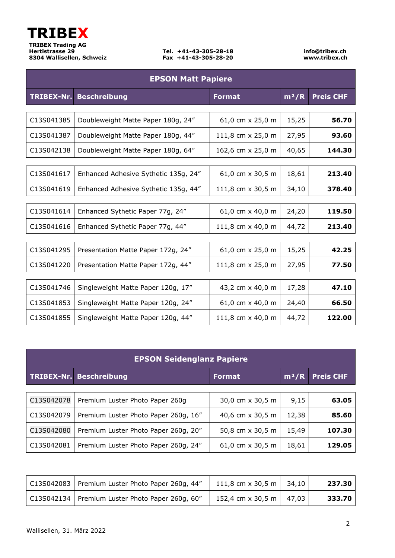

| <b>EPSON Matt Papiere</b> |                                      |                   |         |                  |
|---------------------------|--------------------------------------|-------------------|---------|------------------|
| TRIBEX-Nr.                | <b>Beschreibung</b>                  | <b>Format</b>     | $m^2/R$ | <b>Preis CHF</b> |
|                           |                                      |                   |         |                  |
| C13S041385                | Doubleweight Matte Paper 180g, 24"   | 61,0 cm x 25,0 m  | 15,25   | 56.70            |
| C13S041387                | Doubleweight Matte Paper 180g, 44"   | 111,8 cm x 25,0 m | 27,95   | 93.60            |
| C13S042138                | Doubleweight Matte Paper 180g, 64"   | 162,6 cm x 25,0 m | 40,65   | 144.30           |
|                           |                                      |                   |         |                  |
| C13S041617                | Enhanced Adhesive Sythetic 135g, 24" | 61,0 cm x 30,5 m  | 18,61   | 213.40           |
| C13S041619                | Enhanced Adhesive Sythetic 135g, 44" | 111,8 cm x 30,5 m | 34,10   | 378.40           |
|                           |                                      |                   |         |                  |
| C13S041614                | Enhanced Sythetic Paper 77g, 24"     | 61,0 cm x 40,0 m  | 24,20   | 119.50           |
| C13S041616                | Enhanced Sythetic Paper 77g, 44"     | 111,8 cm x 40,0 m | 44,72   | 213.40           |
|                           |                                      |                   |         |                  |
| C13S041295                | Presentation Matte Paper 172g, 24"   | 61,0 cm x 25,0 m  | 15,25   | 42.25            |
| C13S041220                | Presentation Matte Paper 172g, 44"   | 111,8 cm x 25,0 m | 27,95   | 77.50            |
|                           |                                      |                   |         |                  |
| C13S041746                | Singleweight Matte Paper 120g, 17"   | 43,2 cm x 40,0 m  | 17,28   | 47.10            |
| C13S041853                | Singleweight Matte Paper 120g, 24"   | 61,0 cm x 40,0 m  | 24,40   | 66.50            |
| C13S041855                | Singleweight Matte Paper 120g, 44"   | 111,8 cm x 40,0 m | 44,72   | 122.00           |

| <b>EPSON Seidenglanz Papiere</b> |                                      |                  |         |                  |
|----------------------------------|--------------------------------------|------------------|---------|------------------|
| TRIBEX-Nr.                       | <b>Beschreibung</b>                  | <b>Format</b>    | $m^2/R$ | <b>Preis CHF</b> |
|                                  |                                      |                  |         |                  |
| C13S042078                       | Premium Luster Photo Paper 260q      | 30,0 cm x 30,5 m | 9,15    | 63.05            |
| C13S042079                       | Premium Luster Photo Paper 260g, 16" | 40,6 cm x 30,5 m | 12,38   | 85.60            |
| C13S042080                       | Premium Luster Photo Paper 260g, 20" | 50,8 cm x 30,5 m | 15,49   | 107.30           |
| C13S042081                       | Premium Luster Photo Paper 260g, 24" | 61,0 cm x 30,5 m | 18,61   | 129.05           |

| C13S042083   Premium Luster Photo Paper 260g, 44" | 111,8 cm x 30,5 m   34,10 | 237.30 |
|---------------------------------------------------|---------------------------|--------|
| C13S042134   Premium Luster Photo Paper 260g, 60" | 152,4 cm x 30,5 m   47,03 | 333.70 |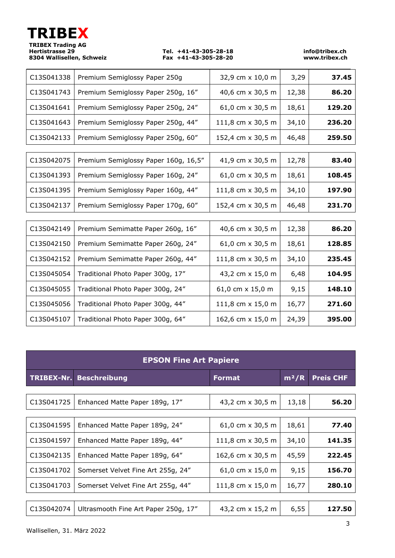| <b>TRIBEX</b>             |
|---------------------------|
| <b>TRIBEX Trading AG</b>  |
| <b>Hertistrasse 29</b>    |
| 8304 Wallisellen, Schweiz |
|                           |

**Hertistrasse 29 Tel. +41-43-305-28-18 info@tribex.ch 8304 Wallisellen, Schweiz Fax +41-43-305-28-20 www.tribex.ch**

| C13S041338 | Premium Semiglossy Paper 250g        | 32,9 cm x 10,0 m  | 3,29  | 37.45  |
|------------|--------------------------------------|-------------------|-------|--------|
| C13S041743 | Premium Semiglossy Paper 250g, 16"   | 40,6 cm x 30,5 m  | 12,38 | 86.20  |
| C13S041641 | Premium Semiglossy Paper 250g, 24"   | 61,0 cm x 30,5 m  | 18,61 | 129.20 |
| C13S041643 | Premium Semiglossy Paper 250g, 44"   | 111,8 cm x 30,5 m | 34,10 | 236.20 |
| C13S042133 | Premium Semiglossy Paper 250g, 60"   | 152,4 cm x 30,5 m | 46,48 | 259.50 |
|            |                                      |                   |       |        |
| C13S042075 | Premium Semiglossy Paper 160g, 16,5" | 41,9 cm x 30,5 m  | 12,78 | 83.40  |
| C13S041393 | Premium Semiglossy Paper 160g, 24"   | 61,0 cm x 30,5 m  | 18,61 | 108.45 |
| C13S041395 | Premium Semiglossy Paper 160g, 44"   | 111,8 cm x 30,5 m | 34,10 | 197.90 |
| C13S042137 | Premium Semiglossy Paper 170g, 60"   | 152,4 cm x 30,5 m | 46,48 | 231.70 |
|            |                                      |                   |       |        |
| C13S042149 | Premium Semimatte Paper 260g, 16"    | 40,6 cm x 30,5 m  | 12,38 | 86.20  |
| C13S042150 | Premium Semimatte Paper 260g, 24"    | 61,0 cm x 30,5 m  | 18,61 | 128.85 |
| C13S042152 | Premium Semimatte Paper 260g, 44"    | 111,8 cm x 30,5 m | 34,10 | 235.45 |
| C13S045054 | Traditional Photo Paper 300g, 17"    | 43,2 cm x 15,0 m  | 6,48  | 104.95 |
| C13S045055 | Traditional Photo Paper 300g, 24"    | 61,0 cm x 15,0 m  | 9,15  | 148.10 |
| C13S045056 | Traditional Photo Paper 300g, 44"    | 111,8 cm x 15,0 m | 16,77 | 271.60 |
| C13S045107 | Traditional Photo Paper 300g, 64"    | 162,6 cm x 15,0 m | 24,39 | 395.00 |

| <b>EPSON Fine Art Papiere</b> |                                      |                          |         |                  |
|-------------------------------|--------------------------------------|--------------------------|---------|------------------|
| TRIBEX-Nr.                    | <b>Beschreibung</b>                  | <b>Format</b>            | $m^2/R$ | <b>Preis CHF</b> |
|                               |                                      |                          |         |                  |
| C13S041725                    | Enhanced Matte Paper 189g, 17"       | 43,2 cm x 30,5 m         | 13,18   | 56.20            |
|                               |                                      |                          |         |                  |
| C13S041595                    | Enhanced Matte Paper 189g, 24"       | 61,0 cm x 30,5 m         | 18,61   | 77.40            |
| C13S041597                    | Enhanced Matte Paper 189g, 44"       | 111,8 cm x 30,5 m        | 34,10   | 141.35           |
| C13S042135                    | Enhanced Matte Paper 189g, 64"       | 162,6 cm x 30,5 m        | 45,59   | 222.45           |
| C13S041702                    | Somerset Velvet Fine Art 255g, 24"   | 61,0 cm $\times$ 15,0 m  | 9,15    | 156.70           |
| C13S041703                    | Somerset Velvet Fine Art 255g, 44"   | 111,8 cm $\times$ 15,0 m | 16,77   | 280.10           |
|                               |                                      |                          |         |                  |
| C13S042074                    | Ultrasmooth Fine Art Paper 250g, 17" | 43,2 cm x 15,2 m         | 6,55    | 127.50           |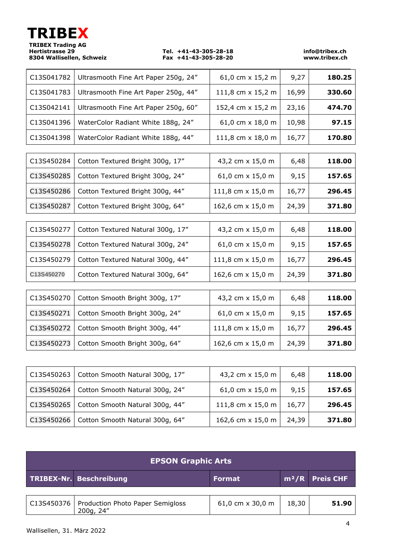|                                      |                                                                                           |                                               | info@tribex.ch<br>www.tribex.ch |
|--------------------------------------|-------------------------------------------------------------------------------------------|-----------------------------------------------|---------------------------------|
| Ultrasmooth Fine Art Paper 250g, 24" | 61,0 cm x 15,2 m                                                                          | 9,27                                          | 180.25                          |
| Ultrasmooth Fine Art Paper 250g, 44" | 111,8 cm x 15,2 m                                                                         | 16,99                                         | 330.60                          |
| Ultrasmooth Fine Art Paper 250g, 60" | 152,4 cm x 15,2 m                                                                         | 23,16                                         | 474.70                          |
| WaterColor Radiant White 188g, 24"   | 61,0 cm x 18,0 m                                                                          | 10,98                                         | 97.15                           |
| WaterColor Radiant White 188g, 44"   | 111,8 cm x 18,0 m                                                                         | 16,77                                         | 170.80                          |
|                                      |                                                                                           |                                               |                                 |
| Cotton Textured Bright 300g, 17"     | 43,2 cm x 15,0 m                                                                          | 6,48                                          | 118.00                          |
| Cotton Textured Bright 300g, 24"     | 61,0 cm $\times$ 15,0 m                                                                   | 9,15                                          | 157.65                          |
| Cotton Textured Bright 300g, 44"     | 111,8 cm x 15,0 m                                                                         | 16,77                                         | 296.45                          |
| Cotton Textured Bright 300g, 64"     | 162,6 cm x 15,0 m                                                                         | 24,39                                         | 371.80                          |
| Cotton Textured Natural 300g, 17"    | 43,2 cm x 15,0 m                                                                          | 6,48                                          | 118.00                          |
| Cotton Textured Natural 300g, 24"    | 61,0 cm x 15,0 m                                                                          | 9,15                                          | 157.65                          |
| Cotton Textured Natural 300g, 44"    | 111,8 cm x 15,0 m                                                                         | 16,77                                         | 296.45                          |
| Cotton Textured Natural 300g, 64"    | 162,6 cm x 15,0 m                                                                         | 24,39                                         | 371.80                          |
| Cotton Smooth Bright 300g, 17"       | 43,2 cm x 15,0 m                                                                          | 6,48                                          | 118.00                          |
| Cotton Smooth Bright 300g, 24"       | 61,0 cm x 15,0 m                                                                          | 9,15                                          | 157.65                          |
| Cotton Smooth Bright 300g, 44"       | 111,8 cm x 15,0 m                                                                         | 16,77                                         | 296.45                          |
| Cotton Smooth Bright 300g, 64"       | 162,6 cm x 15,0 m                                                                         | 24,39                                         | 371.80                          |
|                                      |                                                                                           |                                               |                                 |
|                                      | TRIBEX<br><b>TRIBEX Trading AG</b><br><b>Hertistrasse 29</b><br>8304 Wallisellen, Schweiz | Tel. +41-43-305-28-18<br>Fax +41-43-305-28-20 |                                 |

| C13S450263 | Cotton Smooth Natural 300g, 17"              | 43,2 cm x 15,0 m        | 6,48  | 118.00 |
|------------|----------------------------------------------|-------------------------|-------|--------|
| C13S450264 | Cotton Smooth Natural 300g, 24"              | 61,0 cm $\times$ 15,0 m | 9,15  | 157.65 |
|            | C13S450265   Cotton Smooth Natural 300g, 44" | 111,8 cm x 15,0 m       | 16,77 | 296.45 |
| C13S450266 | Cotton Smooth Natural 300g, 64"              | 162,6 cm x 15,0 m       | 24,39 | 371.80 |

| <b>EPSON Graphic Arts</b>                                  |                         |       |                   |
|------------------------------------------------------------|-------------------------|-------|-------------------|
| TRIBEX-Nr. Beschreibung                                    | <b>Format</b>           |       | $m^2/R$ Preis CHF |
| C13S450376   Production Photo Paper Semigloss<br>200g, 24" | 61,0 cm $\times$ 30,0 m | 18,30 | 51.90             |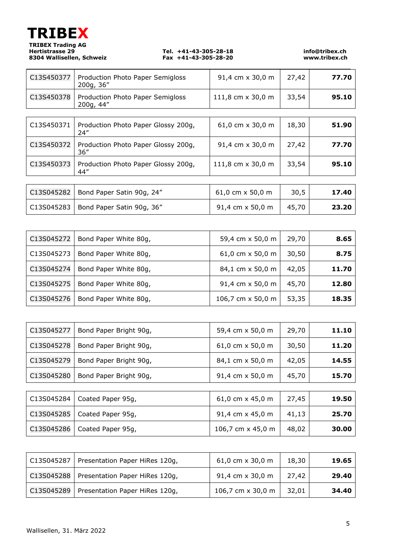| <b>TRIBEX</b>                                      |
|----------------------------------------------------|
| <b>TRIBEX Trading AG</b><br><b>Hertistrasse 29</b> |
| 8304 Wallisellen, Schwei:                          |

**Hertistrasse 29 Tel. +41-43-305-28-18 info@tribex.ch 8304 Wallisellen, Schweiz Fax +41-43-305-28-20 www.tribex.ch**

| C13S450377 | Production Photo Paper Semigloss<br>200g, 36" | 91,4 cm x 30,0 m         | 27,42 | 77.70 |
|------------|-----------------------------------------------|--------------------------|-------|-------|
| C13S450378 | Production Photo Paper Semigloss<br>200g, 44" | 111,8 cm x 30,0 m        | 33,54 | 95.10 |
|            |                                               |                          |       |       |
| C13S450371 | Production Photo Paper Glossy 200g,<br>24"    | 61,0 cm x 30,0 m         | 18,30 | 51.90 |
| C13S450372 | Production Photo Paper Glossy 200g,<br>36″    | 91,4 cm x 30,0 m         | 27,42 | 77.70 |
| C13S450373 | Production Photo Paper Glossy 200g,<br>44"    | 111,8 cm $\times$ 30,0 m | 33,54 | 95.10 |
|            |                                               |                          |       |       |
| C13S045282 | Bond Paper Satin 90g, 24"                     | 61,0 cm $\times$ 50,0 m  | 30,5  | 17.40 |
| C13S045283 | Bond Paper Satin 90g, 36"                     | 91,4 cm x 50,0 m         | 45,70 | 23.20 |

| C13S045272 | Bond Paper White 80g, | 59,4 cm x 50,0 m        | 29,70 | 8.65  |
|------------|-----------------------|-------------------------|-------|-------|
| C13S045273 | Bond Paper White 80g, | 61,0 cm $\times$ 50,0 m | 30,50 | 8.75  |
| C13S045274 | Bond Paper White 80g, | 84,1 cm x 50,0 m        | 42,05 | 11.70 |
| C13S045275 | Bond Paper White 80g, | 91,4 cm x 50,0 m        | 45,70 | 12.80 |
| C13S045276 | Bond Paper White 80g, | 106,7 cm x 50,0 m       | 53,35 | 18.35 |

| C13S045277 | Bond Paper Bright 90g, | 59,4 cm x 50,0 m        | 29,70 | 11.10 |
|------------|------------------------|-------------------------|-------|-------|
| C13S045278 | Bond Paper Bright 90g, | 61,0 cm $\times$ 50,0 m | 30,50 | 11.20 |
| C13S045279 | Bond Paper Bright 90g, | 84,1 cm x 50,0 m        | 42,05 | 14.55 |
| C13S045280 | Bond Paper Bright 90g, | 91,4 cm x 50,0 m        | 45,70 | 15.70 |
|            |                        |                         |       |       |
| C13S045284 | Coated Paper 95g,      | 61,0 cm $\times$ 45,0 m | 27,45 | 19.50 |
| C13S045285 | Coated Paper 95g,      | 91,4 cm x 45,0 m        | 41,13 | 25.70 |
| C13S045286 | Coated Paper 95g,      | 106,7 cm x 45,0 m       | 48,02 | 30.00 |

| C13S045287 | Presentation Paper HiRes 120g, | 61,0 cm $\times$ 30,0 m | 18,30 | 19.65 |
|------------|--------------------------------|-------------------------|-------|-------|
| C13S045288 | Presentation Paper HiRes 120g, | 91,4 cm x 30,0 m        | 27,42 | 29.40 |
| C13S045289 | Presentation Paper HiRes 120g, | 106,7 cm x 30,0 m       | 32,01 | 34.40 |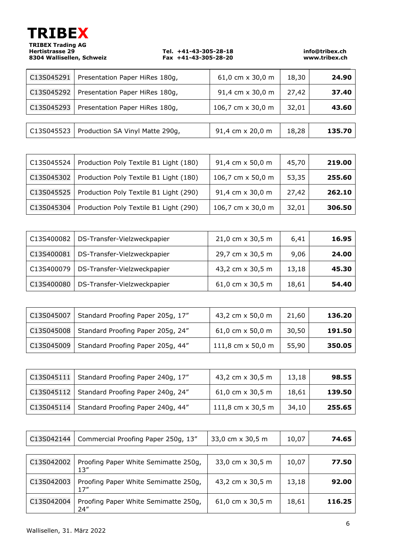| TRIBEX                   |
|--------------------------|
| <b>TRIBEX Trading AG</b> |
| <b>Hertistrasse 29</b>   |
| 8304 Wallisellen, Schwei |

**Hertistrasse 29 Tel. +41-43-305-28-18 info@tribex.ch 8304 Wallisellen, Schweiz Fax +41-43-305-28-20 www.tribex.ch**

| C13S045291 | Presentation Paper HiRes 180g,  | 61,0 cm $\times$ 30,0 m | 18,30 | 24.90  |
|------------|---------------------------------|-------------------------|-------|--------|
| C13S045292 | Presentation Paper HiRes 180g,  | 91,4 cm x 30,0 m        | 27,42 | 37.40  |
| C13S045293 | Presentation Paper HiRes 180g,  | 106,7 cm x 30,0 m       | 32,01 | 43.60  |
|            |                                 |                         |       |        |
| C13S045523 | Production SA Vinyl Matte 290g, | 91,4 cm x 20,0 m        | 18,28 | 135.70 |

| $\vert$ C13S045524 | Production Poly Textile B1 Light (180) | 91,4 cm x 50,0 m  | 45,70 | 219.00 |
|--------------------|----------------------------------------|-------------------|-------|--------|
| $\vert$ C13S045302 | Production Poly Textile B1 Light (180) | 106,7 cm x 50,0 m | 53,35 | 255.60 |
| C13S045525         | Production Poly Textile B1 Light (290) | 91,4 cm x 30,0 m  | 27,42 | 262.10 |
| C13S045304         | Production Poly Textile B1 Light (290) | 106,7 cm x 30,0 m | 32,01 | 306.50 |

| C13S400082 | DS-Transfer-Vielzweckpapier | 21,0 cm x 30,5 m        | 6,41  | 16.95 |
|------------|-----------------------------|-------------------------|-------|-------|
| C13S400081 | DS-Transfer-Vielzweckpapier | 29,7 cm x 30,5 m        | 9,06  | 24.00 |
| C13S400079 | DS-Transfer-Vielzweckpapier | 43,2 cm x 30,5 m        | 13,18 | 45.30 |
| C13S400080 | DS-Transfer-Vielzweckpapier | 61,0 cm $\times$ 30,5 m | 18,61 | 54.40 |

| C13S045007 | Standard Proofing Paper 205g, 17" | 43,2 cm x 50,0 m        | 21,60 | 136.20 |
|------------|-----------------------------------|-------------------------|-------|--------|
| C13S045008 | Standard Proofing Paper 205g, 24" | 61,0 cm $\times$ 50,0 m | 30,50 | 191.50 |
| C13S045009 | Standard Proofing Paper 205g, 44" | 111,8 cm x 50,0 m       | 55,90 | 350.05 |

| $\vert$ C13S045111 $\vert$ Standard Proofing Paper 240g, 17" | 43,2 cm x 30,5 m        | 13,18 | 98.55  |
|--------------------------------------------------------------|-------------------------|-------|--------|
| C13S045112   Standard Proofing Paper 240g, 24"               | 61,0 cm $\times$ 30,5 m | 18,61 | 139.50 |
| C13S045114   Standard Proofing Paper 240g, 44"               | 111,8 cm x 30,5 m       | 34,10 | 255.65 |

| C13S042144 | Commercial Proofing Paper 250g, 13"          | 33,0 cm x 30,5 m | 10,07 | 74.65  |
|------------|----------------------------------------------|------------------|-------|--------|
|            |                                              |                  |       |        |
| C13S042002 | Proofing Paper White Semimatte 250g,<br>13'' | 33,0 cm x 30,5 m | 10,07 | 77.50  |
| C13S042003 | Proofing Paper White Semimatte 250g,<br>17'' | 43,2 cm x 30,5 m | 13,18 | 92.00  |
| C13S042004 | Proofing Paper White Semimatte 250g,<br>24"  | 61,0 cm x 30,5 m | 18,61 | 116.25 |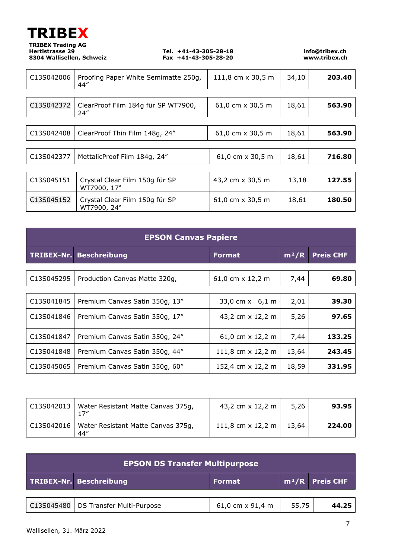

| C13S042006 | Proofing Paper White Semimatte 250g,<br>44"   | 111,8 cm x 30,5 m       | 34,10 | 203.40 |
|------------|-----------------------------------------------|-------------------------|-------|--------|
|            |                                               |                         |       |        |
| C13S042372 | ClearProof Film 184g für SP WT7900,<br>24''   | 61,0 cm $\times$ 30,5 m | 18,61 | 563.90 |
|            |                                               |                         |       |        |
| C13S042408 | ClearProof Thin Film 148g, 24"                | 61,0 cm $\times$ 30,5 m | 18,61 | 563.90 |
|            |                                               |                         |       |        |
| C13S042377 | MettalicProof Film 184g, 24"                  | 61,0 cm x 30,5 m        | 18,61 | 716.80 |
|            |                                               |                         |       |        |
| C13S045151 | Crystal Clear Film 150g für SP<br>WT7900, 17" | 43,2 cm x 30,5 m        | 13,18 | 127.55 |
| C13S045152 | Crystal Clear Film 150g für SP<br>WT7900, 24" | 61,0 cm $\times$ 30,5 m | 18,61 | 180.50 |

| <b>EPSON Canvas Papiere</b> |                                |                          |                    |                  |
|-----------------------------|--------------------------------|--------------------------|--------------------|------------------|
|                             | TRIBEX-Nr. Beschreibung        | <b>Format</b>            | $\overline{m^2/R}$ | <b>Preis CHF</b> |
|                             |                                |                          |                    |                  |
| C13S045295                  | Production Canvas Matte 320g,  | 61,0 cm x 12,2 m         | 7,44               | 69.80            |
|                             |                                |                          |                    |                  |
| C13S041845                  | Premium Canvas Satin 350g, 13" | 33,0 cm $x$ 6,1 m        | 2,01               | 39.30            |
| C13S041846                  | Premium Canvas Satin 350g, 17" | 43,2 cm x 12,2 m         | 5,26               | 97.65            |
| C13S041847                  | Premium Canvas Satin 350g, 24" | 61,0 cm $\times$ 12,2 m  | 7,44               | 133.25           |
| C13S041848                  | Premium Canvas Satin 350g, 44" | 111,8 cm $\times$ 12,2 m | 13,64              | 243.45           |
| C13S045065                  | Premium Canvas Satin 350g, 60" | 152,4 cm x 12,2 m        | 18,59              | 331.95           |

| C13S042013   Water Resistant Matte Canvas 375g,         | 43,2 cm x 12,2 m         | 5,26  | 93.95  |
|---------------------------------------------------------|--------------------------|-------|--------|
| C13S042016   Water Resistant Matte Canvas 375g,<br>44'' | 111,8 cm $\times$ 12,2 m | 13,64 | 224.00 |

| <b>EPSON DS Transfer Multipurpose</b> |                                        |                         |       |                             |
|---------------------------------------|----------------------------------------|-------------------------|-------|-----------------------------|
|                                       | TRIBEX-Nr. Beschreibung                | <b>Format</b>           |       | m <sup>2</sup> /R Preis CHF |
|                                       |                                        |                         |       |                             |
|                                       | C13S045480   DS Transfer Multi-Purpose | 61,0 cm $\times$ 91,4 m | 55,75 | 44.25                       |